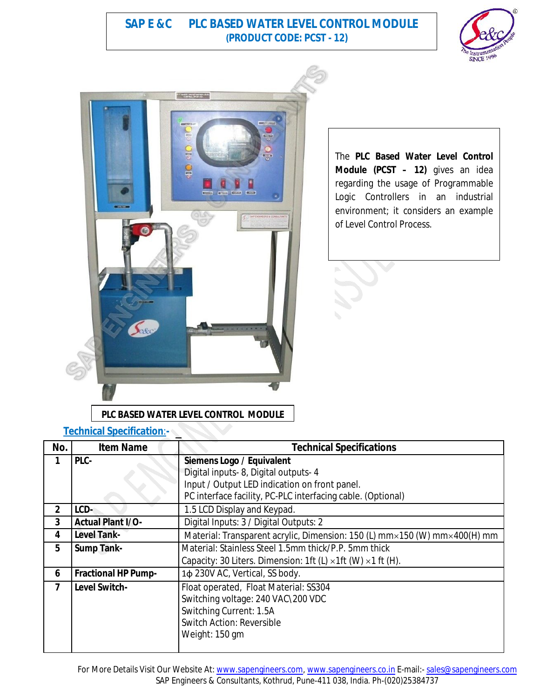# **SAP E &C PLC BASED WATER LEVEL CONTROL MODULE (PRODUCT CODE: PCST - 12)**





The **PLC Based Water Level Control Module (PCST – 12)** gives an idea regarding the usage of Programmable Logic Controllers in an industrial environment; it considers an example of Level Control Process.

**PLC BASED WATER LEVEL CONTROL MODULE**

## **Technical Specification**:**-**

| No.            | <b>Item Name</b>           | <b>Technical Specifications</b>                                               |
|----------------|----------------------------|-------------------------------------------------------------------------------|
| 1              | PLC-                       | Siemens Logo / Equivalent                                                     |
|                |                            | Digital inputs-8, Digital outputs-4                                           |
|                |                            | Input / Output LED indication on front panel.                                 |
|                |                            | PC interface facility, PC-PLC interfacing cable. (Optional)                   |
| $\mathfrak{p}$ | LCD-                       | 1.5 LCD Display and Keypad.                                                   |
| 3              | <b>Actual Plant I/O-</b>   | Digital Inputs: 3 / Digital Outputs: 2                                        |
| 4              | <b>Level Tank-</b>         | Material: Transparent acrylic, Dimension: 150 (L) mm × 150 (W) mm × 400(H) mm |
| 5              | <b>Sump Tank-</b>          | Material: Stainless Steel 1.5mm thick/P.P. 5mm thick                          |
|                |                            | Capacity: 30 Liters. Dimension: 1ft (L) $\times$ 1ft (W) $\times$ 1 ft (H).   |
| 6              | <b>Fractional HP Pump-</b> | 1 $\phi$ 230V AC, Vertical, SS body.                                          |
| 7              | Level Switch-              | Float operated, Float Material: SS304                                         |
|                |                            | Switching voltage: 240 VAC\200 VDC                                            |
|                |                            | Switching Current: 1.5A                                                       |
|                |                            | <b>Switch Action: Reversible</b>                                              |
|                |                            | Weight: 150 gm                                                                |
|                |                            |                                                                               |